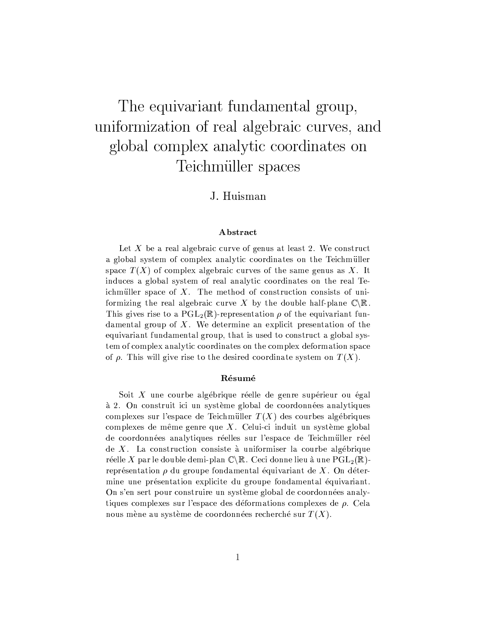# The equivariant fundamental group, uniformization of real algebraic curves, and global complex analytic coordinates on Teichmüller spaces

# J. Huisman

# Abstract

Let X be a real algebraic curve of genus at least 2. We construct a global system of complex analytic coordinates on the Teichmüller space  $T(X)$  of complex algebraic curves of the same genus as X. It induces a global system of real analytic coordinates on the real Teichmüller space of  $X$ . The method of construction consists of uniformizing the real algebraic curve X by the double half-plane  $\mathbb{C}\backslash\mathbb{R}$ . This gives rise to a  $PGL_2(\mathbb{R})$ -representation  $\rho$  of the equivariant fundamental group of X. We determine an explicit presentation of the equivariant fundamental group, that is used to construct a global system of complex analytic coordinates on the complex deformation space of  $\rho$ . This will give rise to the desired coordinate system on  $T(X)$ .

# Résumé

Soit  $X$  une courbe algébrique réelle de genre supérieur ou égal à 2. On construit ici un système global de coordonnées analytiques complexes sur l'espace de Teichmüller  $T(X)$  des courbes algébriques complexes de même genre que  $X$ . Celui-ci induit un système global de coordonnées analytiques réelles sur l'espace de Teichmüller réel de  $X$ . La construction consiste à uniformiser la courbe algébrique réelle X par le double demi-plan  $\mathbb{C}\backslash\mathbb{R}$ . Ceci donne lieu à une PGL<sub>2</sub>( $\mathbb{R}$ )représentation  $\rho$  du groupe fondamental équivariant de  $X$ . On détermine une présentation explicite du groupe fondamental équivariant. On s'en sert pour construire un système global de coordonnées analytiques complexes sur l'espace des déformations complexes de  $\rho$ . Cela nous mène au système de coordonnées recherché sur  $T(X)$ .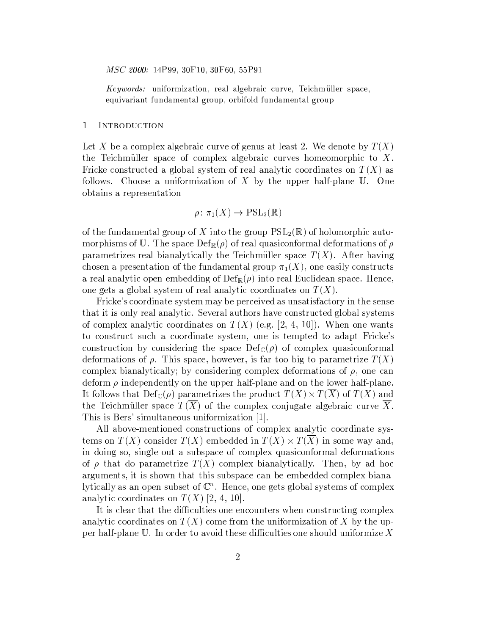MSC 2000: 14P99, 30F10, 30F60, 55P91

Keywords: uniformization, real algebraic curve, Teichmüller space, equivariant fundamental group, orbifold fundamental group

#### $\mathbf 1$ INTRODUCTION

Let X be a complex algebraic curve of genus at least 2. We denote by  $T(X)$ the Teichmüller space of complex algebraic curves homeomorphic to  $X$ . Fricke constructed a global system of real analytic coordinates on  $T(X)$  as follows. Choose a uniformization of X by the upper half-plane  $\mathbb U$ . One obtains a representation

$$
\rho \colon \pi_1(X) \to \mathrm{PSL}_2(\mathbb{R})
$$

of the fundamental group of X into the group  $PSL_2(\mathbb{R})$  of holomorphic automorphisms of U. The space  $\text{Def}_{\mathbb{R}}(\rho)$  of real quasiconformal deformations of  $\rho$ parametrizes real bianalytically the Teichmüller space  $T(X)$ . After having chosen a presentation of the fundamental group  $\pi_1(X)$ , one easily constructs a real analytic open embedding of  $Def_{\mathbb{R}}(\rho)$  into real Euclidean space. Hence, one gets a global system of real analytic coordinates on  $T(X)$ .

Fricke's coordinate system may be perceived as unsatisfactory in the sense that it is only real analytic. Several authors have constructed global systems of complex analytic coordinates on  $T(X)$  (e.g. [2, 4, 10]). When one wants to construct such a coordinate system, one is tempted to adapt Fricke's construction by considering the space  $Def_{\mathbb{C}}(\rho)$  of complex quasiconformal deformations of  $\rho$ . This space, however, is far too big to parametrize  $T(X)$ complex bianalytically; by considering complex deformations of  $\rho$ , one can deform  $\rho$  independently on the upper half-plane and on the lower half-plane. It follows that  $\mathrm{Def}_{\mathbb{C}}(\rho)$  parametrizes the product  $T(X) \times T(X)$  of  $T(X)$  and the Teichmüller space  $T(X)$  of the complex conjugate algebraic curve X. This is Bers' simultaneous uniformization [1].

All above-mentioned constructions of complex analytic coordinate systems on  $T(X)$  consider  $T(X)$  embedded in  $T(X) \times T(X)$  in some way and, in doing so, single out a subspace of complex quasiconformal deformations of  $\rho$  that do parametrize  $T(X)$  complex bianalytically. Then, by ad hoc arguments, it is shown that this subspace can be embedded complex bianalytically as an open subset of  $\mathbb{C}^n$ . Hence, one gets global systems of complex analytic coordinates on  $T(X)$  [2, 4, 10].

It is clear that the difficulties one encounters when constructing complex analytic coordinates on  $T(X)$  come from the uniformization of X by the upper half-plane  $\mathbb U.$  In order to avoid these difficulties one should uniformize  $X$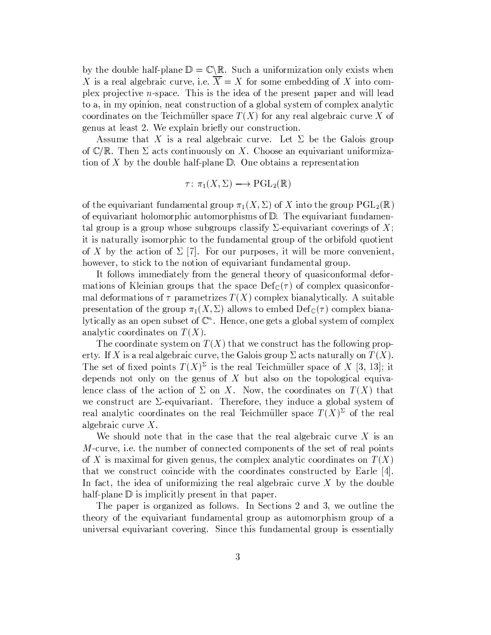by the double half-plane  $\mathbb{D} = \mathbb{C} \backslash \mathbb{R}$ . Such a uniformization only exists when X is a real algebraic curve, i.e.  $\overline{X} = X$  for some embedding of X into complex projective  $n$ -space. This is the idea of the present paper and will lead to a, in my opinion, neat construction of a global system of complex analytic coordinates on the Teichmüller space  $T(X)$  for any real algebraic curve X of genus at least 2. We explain briefly our construction.

Assume that X is a real algebraic curve. Let  $\Sigma$  be the Galois group of  $\mathbb{C}/\mathbb{R}$ . Then  $\Sigma$  acts continuously on X. Choose an equivariant uniformization of X by the double half-plane  $\mathbb D$ . One obtains a representation

$$
\tau \colon \pi_1(X, \Sigma) \longrightarrow \mathrm{PGL}_2(\mathbb{R})
$$

of the equivariant fundamental group  $\pi_1(X,\Sigma)$  of X into the group  $\operatorname{PGL}_2(\mathbb{R})$ of equivariant holomorphic automorphisms of  $D$ . The equivariant fundamental group is a group whose subgroups classify  $\Sigma$ -equivariant coverings of X; it is naturally isomorphic to the fundamental group of the orbifold quotient of X by the action of  $\Sigma$  [7]. For our purposes, it will be more convenient, however, to stick to the notion of equivariant fundamental group.

It follows immediately from the general theory of quasiconformal deformations of Kleinian groups that the space  $\mathrm{Def}_{\mathbb{C}}(\tau)$  of complex quasiconformal deformations of  $\tau$  parametrizes  $T(X)$  complex bianalytically. A suitable presentation of the group  $\pi_1(X,\Sigma)$  allows to embed  $\mathrm{Def}_{\mathbb{C}}(\tau)$  complex bianalytically as an open subset of  $\mathbb{C}^n$ . Hence, one gets a global system of complex analytic coordinates on  $T(X)$ .

The coordinate system on  $T(X)$  that we construct has the following property. If X is a real algebraic curve, the Galois group  $\Sigma$  acts naturally on  $T(X)$ . The set of fixed points  $T(X)^{\Sigma}$  is the real Teichmüller space of X [3, 13]; it depends not only on the genus of  $X$  but also on the topological equivalence class of the action of  $\Sigma$  on X. Now, the coordinates on  $T(X)$  that we construct are  $\Sigma$ -equivariant. Therefore, they induce a global system of real analytic coordinates on the real Teichmüller space  $T(X)^{\Sigma}$  of the real algebraic curve  $X$ .

We should note that in the case that the real algebraic curve  $X$  is an M-curve, i.e. the number of connected components of the set of real points of X is maximal for given genus, the complex analytic coordinates on  $T(X)$ that we construct coincide with the coordinates constructed by Earle [4]. In fact, the idea of uniformizing the real algebraic curve  $X$  by the double half-plane  $\mathbb D$  is implicitly present in that paper.

The paper is organized as follows. In Sections 2 and 3, we outline the theory of the equivariant fundamental group as automorphism group of a universal equivariant covering. Since this fundamental group is essentially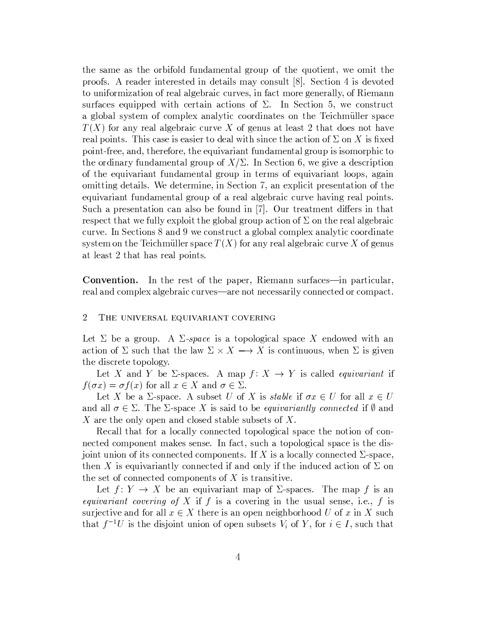the same as the orbifold fundamental group of the quotient, we omit the proofs. A reader interested in details may consult [8]. Section 4 is devoted to uniformization of real algebraic curves, in fact more generally, of Riemann surfaces equipped with certain actions of  $\Sigma$ . In Section 5, we construct a global system of complex analytic coordinates on the Teichmüller space  $T(X)$  for any real algebraic curve X of genus at least 2 that does not have real points. This case is easier to deal with since the action of  $\Sigma$  on X is fixed point-free, and, therefore, the equivariant fundamental group is isomorphic to the ordinary fundamental group of  $X/\Sigma$ . In Section 6, we give a description of the equivariant fundamental group in terms of equivariant loops, again omitting details. We determine, in Section 7, an explicit presentation of the equivariant fundamental group of a real algebraic curve having real points. Such a presentation can also be found in [7]. Our treatment differs in that respect that we fully exploit the global group action of  $\Sigma$  on the real algebraic curve. In Sections 8 and 9 we construct a global complex analytic coordinate system on the Teichmüller space  $T(X)$  for any real algebraic curve X of genus at least 2 that has real points.

**Convention.** In the rest of the paper, Riemann surfaces—in particular, real and complex algebraic curves—are not necessarily connected or compact.

#### $\overline{2}$ THE UNIVERSAL EQUIVARIANT COVERING

Let  $\Sigma$  be a group. A  $\Sigma$ -space is a topological space X endowed with an action of  $\Sigma$  such that the law  $\Sigma \times X \longrightarrow X$  is continuous, when  $\Sigma$  is given the discrete topology.

Let X and Y be  $\Sigma$ -spaces. A map  $f: X \to Y$  is called *equivariant* if  $f(\sigma x) = \sigma f(x)$  for all  $x \in X$  and  $\sigma \in \Sigma$ .

Let X be a  $\Sigma$ -space. A subset U of X is stable if  $\sigma x \in U$  for all  $x \in U$ and all  $\sigma \in \Sigma$ . The  $\Sigma$ -space X is said to be *equivariantly connected* if  $\emptyset$  and X are the only open and closed stable subsets of X.

Recall that for a locally connected topological space the notion of connected component makes sense. In fact, such a topological space is the disjoint union of its connected components. If X is a locally connected  $\Sigma$ -space, then X is equivariantly connected if and only if the induced action of  $\Sigma$  on the set of connected components of  $X$  is transitive.

Let  $f: Y \to X$  be an equivariant map of  $\Sigma$ -spaces. The map f is an *equivariant covering of X* if f is a covering in the usual sense, i.e., f is surjective and for all  $x \in X$  there is an open neighborhood U of x in X such that  $f^{-1}U$  is the disjoint union of open subsets  $V_i$  of Y, for  $i \in I$ , such that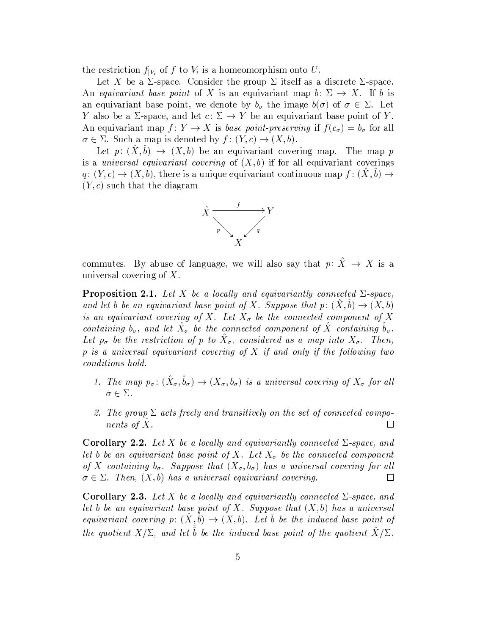the restriction  $f_{|V_i}$  of f to  $V_i$  is a homeomorphism onto U.

Let X be a  $\Sigma$ -space. Consider the group  $\Sigma$  itself as a discrete  $\Sigma$ -space. An equivariant base point of X is an equivariant map  $b: \Sigma \to X$ . If b is an equivariant base point, we denote by  $b_{\sigma}$  the image  $b(\sigma)$  of  $\sigma \in \Sigma$ . Let Y also be a  $\Sigma$ -space, and let  $c: \Sigma \to Y$  be an equivariant base point of Y. An equivariant map  $f: Y \to X$  is base point-preserving if  $f(c_{\sigma}) = b_{\sigma}$  for all  $\sigma \in \Sigma$ . Such a map is denoted by  $f: (Y, c) \to (X, b)$ .

Let  $p: (X, b) \rightarrow (X, b)$  be an equivariant covering map. The map p is a *universal equivariant covering* of  $(X, b)$  if for all equivariant coverings  $q: (Y, c) \to (X, b)$ , there is a unique equivariant continuous map  $f: (\hat{X}, \hat{b}) \to$  $(Y, c)$  such that the diagram



commutes. By abuse of language, we will also say that  $p: \hat{X} \to X$  is a universal covering of  $X$ .

**Proposition 2.1.** Let X be a locally and equivariantly connected  $\Sigma$ -space, and let b be an equivariant base point of X. Suppose that  $p:(X,b)\to (X,b)$ is an equivariant covering of X. Let  $X_{\sigma}$  be the connected component of X containing  $b_{\sigma}$ , and let  $\tilde{X}_{\sigma}$  be the connected component of  $\tilde{X}$  containing  $b_{\sigma}$ . Let  $p_{\sigma}$  be the restriction of p to  $\hat{X}_{\sigma}$ , considered as a map into  $X_{\sigma}$ . Then, p is a universal equivariant covering of X if and only if the following two conditions hold.

- 1. The map  $p_{\sigma}$ :  $(\hat{X}_{\sigma}, \hat{b}_{\sigma}) \rightarrow (X_{\sigma}, b_{\sigma})$  is a universal covering of  $X_{\sigma}$  for all  $\sigma \in \Sigma$ .
- 2. The group  $\Sigma$  acts freely and transitively on the set of connected components of  $X$ .  $\Box$

**Corollary 2.2.** Let X be a locally and equivariantly connected  $\Sigma$ -space, and let b be an equivariant base point of X. Let  $X_{\sigma}$  be the connected component of X containing  $b_{\sigma}$ . Suppose that  $(X_{\sigma}, b_{\sigma})$  has a universal covering for all  $\sigma \in \Sigma$ . Then,  $(X, b)$  has a universal equivariant covering.  $\Box$ 

**Corollary 2.3.** Let X be a locally and equivariantly connected  $\Sigma$ -space, and let b be an equivariant base point of X. Suppose that  $(X, b)$  has a universal equivariant covering  $p: (\hat{X}, \hat{b}) \to (X, b)$ . Let  $\bar{b}$  be the induced base point of the quotient  $X/\Sigma$ , and let  $\hat{b}$  be the induced base point of the quotient  $\hat{X}/\Sigma$ .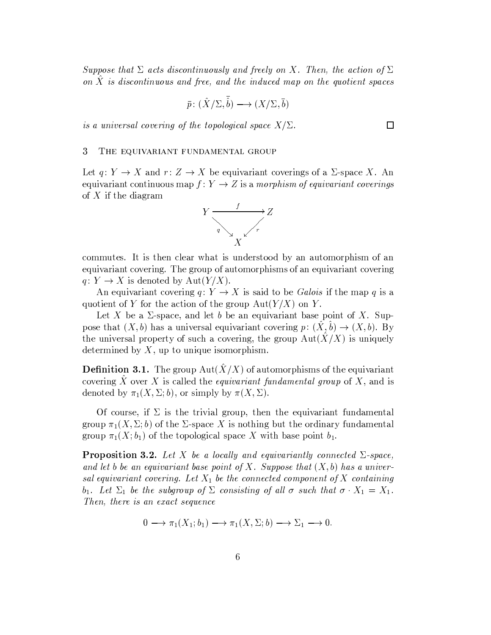Suppose that  $\Sigma$  acts discontinuously and freely on X. Then, the action of  $\Sigma$ on  $X$  is discontinuous and free, and the induced map on the quotient spaces

$$
\bar{p} \colon (\hat{X}/\Sigma, \hat{b}) \longrightarrow (X/\Sigma, \bar{b})
$$

is a universal covering of the topological space  $X/\Sigma$ .

#### THE EQUIVARIANT FUNDAMENTAL GROUP 3

Let  $q: Y \to X$  and  $r: Z \to X$  be equivariant coverings of a  $\Sigma$ -space X. An equivariant continuous map  $f: Y \to Z$  is a morphism of equivariant coverings of  $X$  if the diagram



commutes. It is then clear what is understood by an automorphism of an equivariant covering. The group of automorphisms of an equivariant covering  $q: Y \to X$  is denoted by Aut $(Y/X)$ .

An equivariant covering  $q: Y \to X$  is said to be Galois if the map q is a quotient of Y for the action of the group  $Aut(Y/X)$  on Y.

Let X be a  $\Sigma$ -space, and let b be an equivariant base point of X. Suppose that  $(X, b)$  has a universal equivariant covering  $p: (\hat{X}, \hat{b}) \to (X, b)$ . By the universal property of such a covering, the group  $Aut(X/X)$  is uniquely determined by  $X$ , up to unique isomorphism.

**Definition 3.1.** The group  $Aut(X/X)$  of automorphisms of the equivariant covering  $\hat{X}$  over X is called the *equivariant fundamental group* of X, and is denoted by  $\pi_1(X, \Sigma; b)$ , or simply by  $\pi(X, \Sigma)$ .

Of course, if  $\Sigma$  is the trivial group, then the equivariant fundamental group  $\pi_1(X, \Sigma; b)$  of the  $\Sigma$ -space X is nothing but the ordinary fundamental group  $\pi_1(X; b_1)$  of the topological space X with base point  $b_1$ .

**Proposition 3.2.** Let X be a locally and equivariantly connected  $\Sigma$ -space, and let b be an equivariant base point of X. Suppose that  $(X, b)$  has a universal equivariant covering. Let  $X_1$  be the connected component of X containing  $b_1$ . Let  $\Sigma_1$  be the subgroup of  $\Sigma$  consisting of all  $\sigma$  such that  $\sigma \cdot X_1 = X_1$ . Then, there is an exact sequence

$$
0 \longrightarrow \pi_1(X_1; b_1) \longrightarrow \pi_1(X, \Sigma; b) \longrightarrow \Sigma_1 \longrightarrow 0.
$$

 $\Box$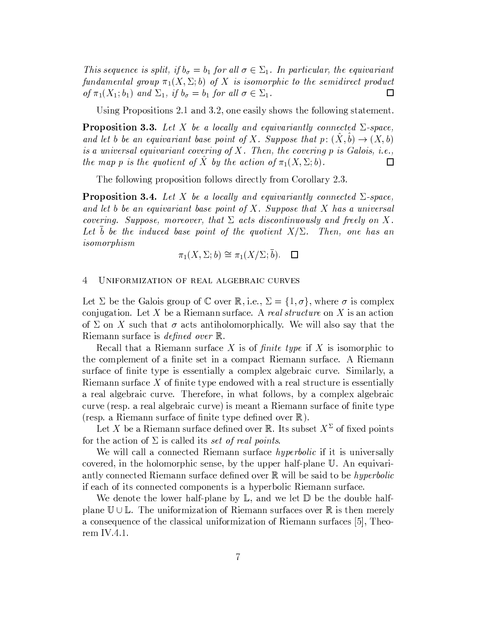This sequence is split, if  $b_{\sigma} = b_1$  for all  $\sigma \in \Sigma_1$ . In particular, the equivariant fundamental group  $\pi_1(X, \Sigma; b)$  of X is isomorphic to the semidirect product of  $\pi_1(X_1; b_1)$  and  $\Sigma_1$ , if  $b_{\sigma} = b_1$  for all  $\sigma \in \Sigma_1$ .  $\Box$ 

Using Propositions 2.1 and 3.2, one easily shows the following statement.

**Proposition 3.3.** Let X be a locally and equivariantly connected  $\Sigma$ -space, and let b be an equivariant base point of X. Suppose that  $p: (\hat{X}, \hat{b}) \to (X, b)$ is a universal equivariant covering of X. Then, the covering  $p$  is Galois, i.e., the map p is the quotient of X by the action of  $\pi_1(X, \Sigma; b)$ .  $\Box$ 

The following proposition follows directly from Corollary 2.3.

**Proposition 3.4.** Let X be a locally and equivariantly connected  $\Sigma$ -space, and let b be an equivariant base point of X. Suppose that X has a universal covering. Suppose, moreover, that  $\Sigma$  acts discontinuously and freely on X. Let b be the induced base point of the quotient  $X/\Sigma$ . Then, one has an  $isomorphism$ 

$$
\pi_1(X, \Sigma; b) \cong \pi_1(X/\Sigma; \overline{b}). \quad \Box
$$

#### $\overline{4}$ UNIFORMIZATION OF REAL ALGEBRAIC CURVES

Let  $\Sigma$  be the Galois group of  $\mathbb C$  over  $\mathbb R$ , i.e.,  $\Sigma = \{1, \sigma\}$ , where  $\sigma$  is complex conjugation. Let X be a Riemann surface. A real structure on X is an action of  $\Sigma$  on X such that  $\sigma$  acts antiholomorphically. We will also say that the Riemann surface is *defined over*  $\mathbb{R}$ .

Recall that a Riemann surface X is of *finite type* if X is isomorphic to the complement of a finite set in a compact Riemann surface. A Riemann surface of finite type is essentially a complex algebraic curve. Similarly, a Riemann surface  $X$  of finite type endowed with a real structure is essentially a real algebraic curve. Therefore, in what follows, by a complex algebraic curve (resp. a real algebraic curve) is meant a Riemann surface of finite type (resp. a Riemann surface of finite type defined over  $\mathbb{R}$ ).

Let X be a Riemann surface defined over R. Its subset  $X^{\Sigma}$  of fixed points for the action of  $\Sigma$  is called its set of real points.

We will call a connected Riemann surface *hyperbolic* if it is universally covered, in the holomorphic sense, by the upper half-plane  $\mathbb U$ . An equivariantly connected Riemann surface defined over  $\mathbb R$  will be said to be hyperbolic if each of its connected components is a hyperbolic Riemann surface.

We denote the lower half-plane by  $\mathbb{L}$ , and we let  $\mathbb{D}$  be the double halfplane  $\mathbb{U} \cup \mathbb{L}$ . The uniformization of Riemann surfaces over  $\mathbb{R}$  is then merely a consequence of the classical uniformization of Riemann surfaces [5], Theorem IV.4.1.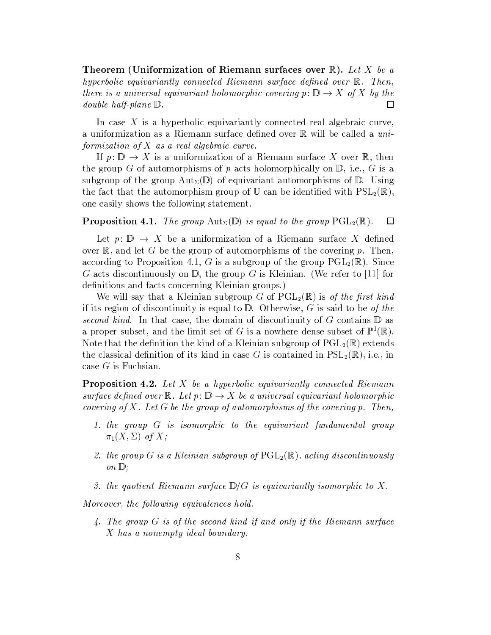Theorem (Uniformization of Riemann surfaces over  $\mathbb{R}$ ). Let X be a hyperbolic equivariantly connected Riemann surface defined over  $\mathbb{R}$ . Then, there is a universal equivariant holomorphic covering  $p: \mathbb{D} \to X$  of X by the *double half-plane*  $\mathbb{D}$ .  $\Box$ 

In case  $X$  is a hyperbolic equivariantly connected real algebraic curve, a uniformization as a Riemann surface defined over R will be called a uniformization of  $X$  as a real algebraic curve.

If  $p: \mathbb{D} \to X$  is a uniformization of a Riemann surface X over R, then the group G of automorphisms of p acts holomorphically on  $\mathbb{D}$ , i.e., G is a subgroup of the group  $Aut_{\Sigma}(\mathbb{D})$  of equivariant automorphisms of  $\mathbb{D}$ . Using the fact that the automorphism group of U can be identified with  $PSL_2(\mathbb{R})$ , one easily shows the following statement.

#### **Proposition 4.1.** The group  $\text{Aut}_{\Sigma}(\mathbb{D})$  is equal to the group  $\text{PGL}_2(\mathbb{R})$ .  $\Box$

Let  $p: \mathbb{D} \to X$  be a uniformization of a Riemann surface X defined over  $\mathbb{R}$ , and let G be the group of automorphisms of the covering p. Then, according to Proposition 4.1, G is a subgroup of the group  $PGL_2(\mathbb{R})$ . Since G acts discontinuously on D, the group G is Kleinian. (We refer to [11] for definitions and facts concerning Kleinian groups.)

We will say that a Kleinian subgroup G of  $PGL_2(\mathbb{R})$  is of the first kind if its region of discontinuity is equal to  $D$ . Otherwise, G is said to be of the second kind. In that case, the domain of discontinuity of G contains  $\mathbb D$  as a proper subset, and the limit set of G is a nowhere dense subset of  $\mathbb{P}^1(\mathbb{R})$ . Note that the definition the kind of a Kleinian subgroup of  $PGL_2(\mathbb{R})$  extends the classical definition of its kind in case G is contained in  $PSL_2(\mathbb{R})$ , i.e., in case  $G$  is Fuchsian.

**Proposition 4.2.** Let  $X$  be a hyperbolic equivariantly connected Riemann surface defined over  $\mathbb R$ . Let  $p : \mathbb D \to X$  be a universal equivariant holomorphic covering of X. Let G be the group of automorphisms of the covering p. Then,

- 1. the group G is isomorphic to the equivariant fundamental group  $\pi_1(X,\Sigma)$  of X;
- 2. the group G is a Kleinian subgroup of  $\mathrm{PGL}_2(\mathbb{R})$ , acting discontinuously on  $\mathbb{D}$ :
- 3. the quotient Riemann surface  $\mathbb{D}/G$  is equivariantly isomorphic to X.

Moreover, the following equivalences hold.

4. The group  $G$  is of the second kind if and only if the Riemann surface X has a nonempty ideal boundary.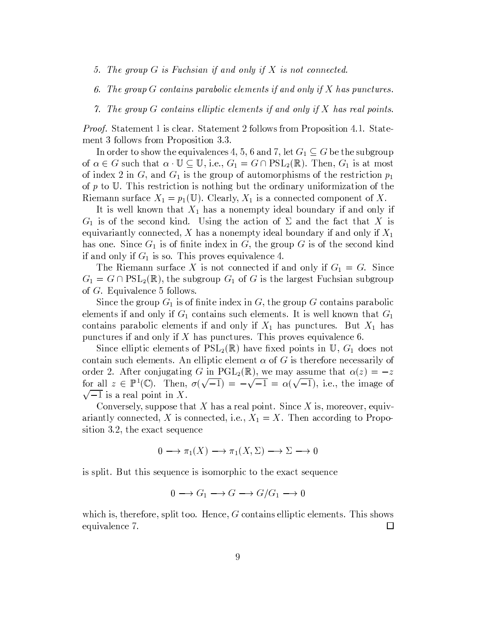- 5. The group  $G$  is Fuchsian if and only if  $X$  is not connected.
- 6. The group  $G$  contains parabolic elements if and only if  $X$  has punctures.
- 7. The group G contains elliptic elements if and only if X has real points.

*Proof.* Statement 1 is clear. Statement 2 follows from Proposition 4.1. Statement 3 follows from Proposition 3.3.

In order to show the equivalences 4, 5, 6 and 7, let  $G_1 \subseteq G$  be the subgroup of  $\alpha \in G$  such that  $\alpha \cdot \mathbb{U} \subseteq \mathbb{U}$ , i.e.,  $G_1 = G \cap \mathrm{PSL}_2(\mathbb{R})$ . Then,  $G_1$  is at most of index 2 in G, and  $G_1$  is the group of automorphisms of the restriction  $p_1$ of  $p$  to  $\mathbb{U}$ . This restriction is nothing but the ordinary uniformization of the Riemann surface  $X_1 = p_1(\mathbb{U})$ . Clearly,  $X_1$  is a connected component of X.

It is well known that  $X_1$  has a nonempty ideal boundary if and only if  $G_1$  is of the second kind. Using the action of  $\Sigma$  and the fact that X is equivariantly connected, X has a nonempty ideal boundary if and only if  $X_1$ has one. Since  $G_1$  is of finite index in G, the group G is of the second kind if and only if  $G_1$  is so. This proves equivalence 4.

The Riemann surface X is not connected if and only if  $G_1 = G$ . Since  $G_1 = G \cap \text{PSL}_2(\mathbb{R})$ , the subgroup  $G_1$  of G is the largest Fuchsian subgroup of  $G$ . Equivalence 5 follows.

Since the group  $G_1$  is of finite index in G, the group G contains parabolic elements if and only if  $G_1$  contains such elements. It is well known that  $G_1$ contains parabolic elements if and only if  $X_1$  has punctures. But  $X_1$  has punctures if and only if  $X$  has punctures. This proves equivalence 6.

Since elliptic elements of  $PSL_2(\mathbb{R})$  have fixed points in U,  $G_1$  does not contain such elements. An elliptic element  $\alpha$  of G is therefore necessarily of order 2. After conjugating G in PGL<sub>2</sub>( $\mathbb{R}$ ), we may assume that  $\alpha(z) = -z$ for all  $z \in \mathbb{P}^1(\mathbb{C})$ . Then,  $\sigma(\sqrt{-1}) = -\sqrt{-1} = \alpha(\sqrt{-1})$ , i.e., the image of  $\sqrt{-1}$  is a real point in X.

Conversely, suppose that X has a real point. Since X is, moreover, equivariantly connected, X is connected, i.e.,  $X_1 = X$ . Then according to Proposition 3.2, the exact sequence

$$
0 \longrightarrow \pi_1(X) \longrightarrow \pi_1(X, \Sigma) \longrightarrow \Sigma \longrightarrow 0
$$

is split. But this sequence is isomorphic to the exact sequence

$$
0 \longrightarrow G_1 \longrightarrow G \longrightarrow G/G_1 \longrightarrow 0
$$

which is, therefore, split too. Hence,  $G$  contains elliptic elements. This shows equivalence 7. 囗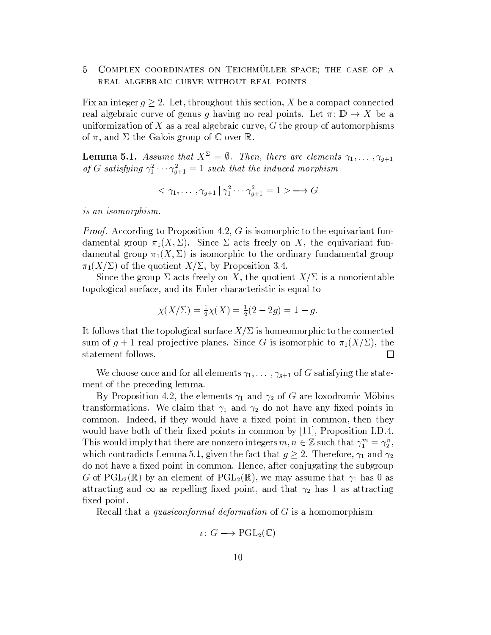## 5 COMPLEX COORDINATES ON TEICHMÜLLER SPACE; THE CASE OF A REAL ALGEBRAIC CURVE WITHOUT REAL POINTS

Fix an integer  $q \geq 2$ . Let, throughout this section, X be a compact connected real algebraic curve of genus g having no real points. Let  $\pi: \mathbb{D} \to X$  be a uniformization of X as a real algebraic curve,  $G$  the group of automorphisms of  $\pi$ , and  $\Sigma$  the Galois group of  $\mathbb C$  over  $\mathbb R$ .

**Lemma 5.1.** Assume that  $X^{\Sigma} = \emptyset$ . Then, there are elements  $\gamma_1, \ldots, \gamma_{g+1}$ of G satisfying  $\gamma_1^2 \cdots \gamma_{g+1}^2 = 1$  such that the induced morphism

$$
\langle \gamma_1, \ldots, \gamma_{g+1} | \gamma_1^2 \cdots \gamma_{g+1}^2 = 1 \rangle \longrightarrow G
$$

is an isomorphism.

*Proof.* According to Proposition 4.2, G is isomorphic to the equivariant fundamental group  $\pi_1(X,\Sigma)$ . Since  $\Sigma$  acts freely on X, the equivariant fundamental group  $\pi_1(X,\Sigma)$  is isomorphic to the ordinary fundamental group  $\pi_1(X/\Sigma)$  of the quotient  $X/\Sigma$ , by Proposition 3.4.

Since the group  $\Sigma$  acts freely on X, the quotient  $X/\Sigma$  is a nonorientable topological surface, and its Euler characteristic is equal to

$$
\chi(X/\Sigma) = \frac{1}{2}\chi(X) = \frac{1}{2}(2 - 2g) = 1 - g.
$$

It follows that the topological surface  $X/\Sigma$  is homeomorphic to the connected sum of  $g + 1$  real projective planes. Since G is isomorphic to  $\pi_1(X/\Sigma)$ , the statement follows.  $\Box$ 

We choose once and for all elements  $\gamma_1, \dots, \gamma_{g+1}$  of G satisfying the statement of the preceding lemma.

By Proposition 4.2, the elements  $\gamma_1$  and  $\gamma_2$  of G are loxodromic Möbius transformations. We claim that  $\gamma_1$  and  $\gamma_2$  do not have any fixed points in common. Indeed, if they would have a fixed point in common, then they would have both of their fixed points in common by  $[11]$ , Proposition I.D.4. This would imply that there are nonzero integers  $m, n \in \mathbb{Z}$  such that  $\gamma_1^m = \gamma_2^n$ , which contradicts Lemma 5.1, given the fact that  $g \geq 2$ . Therefore,  $\gamma_1$  and  $\gamma_2$ do not have a fixed point in common. Hence, after conjugating the subgroup G of  $PGL_2(\mathbb{R})$  by an element of  $PGL_2(\mathbb{R})$ , we may assume that  $\gamma_1$  has 0 as attracting and  $\infty$  as repelling fixed point, and that  $\gamma_2$  has 1 as attracting fixed point.

Recall that a *quasiconformal deformation* of  $G$  is a homomorphism

$$
\iota\colon G\longrightarrow \mathrm{PGL}_2(\mathbb{C})
$$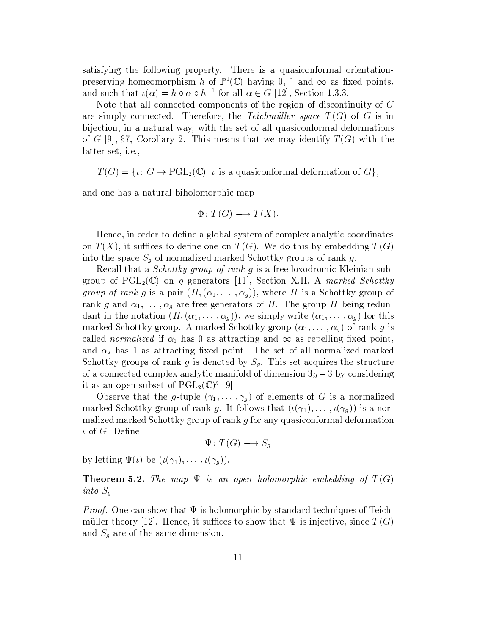satisfying the following property. There is a quasiconformal orientationpreserving homeomorphism h of  $\mathbb{P}^1(\mathbb{C})$  having 0, 1 and  $\infty$  as fixed points, and such that  $\iota(\alpha) = h \circ \alpha \circ h^{-1}$  for all  $\alpha \in G$  [12], Section 1.3.3.

Note that all connected components of the region of discontinuity of  $G$ are simply connected. Therefore, the Teichmüller space  $T(G)$  of G is in bijection, in a natural way, with the set of all quasiconformal deformations of G [9], §7, Corollary 2. This means that we may identify  $T(G)$  with the latter set, *i.e.*,

 $T(G) = \{ \iota : G \to \mathrm{PGL}_2(\mathbb{C}) \mid \iota \text{ is a quasiconformal deformation of } G \},\$ 

and one has a natural biholomorphic map

$$
\Phi\colon T(G)\longrightarrow T(X).
$$

Hence, in order to define a global system of complex analytic coordinates on  $T(X)$ , it suffices to define one on  $T(G)$ . We do this by embedding  $T(G)$ into the space  $S_g$  of normalized marked Schottky groups of rank g.

Recall that a *Schottky group of rank g* is a free loxodromic Kleinian subgroup of  $PGL_2(\mathbb{C})$  on g generators [11], Section X.H. A marked Schottky *group of rank g* is a pair  $(H, (\alpha_1, \ldots, \alpha_q))$ , where H is a Schottky group of rank g and  $\alpha_1, \ldots, \alpha_g$  are free generators of H. The group H being redundant in the notation  $(H, (\alpha_1, \ldots, \alpha_g))$ , we simply write  $(\alpha_1, \ldots, \alpha_g)$  for this marked Schottky group. A marked Schottky group  $(\alpha_1, \dots, \alpha_g)$  of rank g is called *normalized* if  $\alpha_1$  has 0 as attracting and  $\infty$  as repelling fixed point, and  $\alpha_2$  has 1 as attracting fixed point. The set of all normalized marked Schottky groups of rank g is denoted by  $S_g$ . This set acquires the structure of a connected complex analytic manifold of dimension  $3q-3$  by considering it as an open subset of  $PGL_2(\mathbb{C})^g$  [9].

Observe that the g-tuple  $(\gamma_1, \ldots, \gamma_g)$  of elements of G is a normalized marked Schottky group of rank g. It follows that  $(\iota(\gamma_1), \ldots, \iota(\gamma_g))$  is a normalized marked Schottky group of rank g for any quasiconformal deformation  $\iota$  of G. Define

 $\Psi\colon T(G)\longrightarrow S_g$ 

by letting  $\Psi(\iota)$  be  $(\iota(\gamma_1), \ldots, \iota(\gamma_q)).$ 

**Theorem 5.2.** The map  $\Psi$  is an open holomorphic embedding of  $T(G)$ into  $S_g$ .

*Proof.* One can show that  $\Psi$  is holomorphic by standard techniques of Teichmüller theory [12]. Hence, it suffices to show that  $\Psi$  is injective, since  $T(G)$ and  $S_g$  are of the same dimension.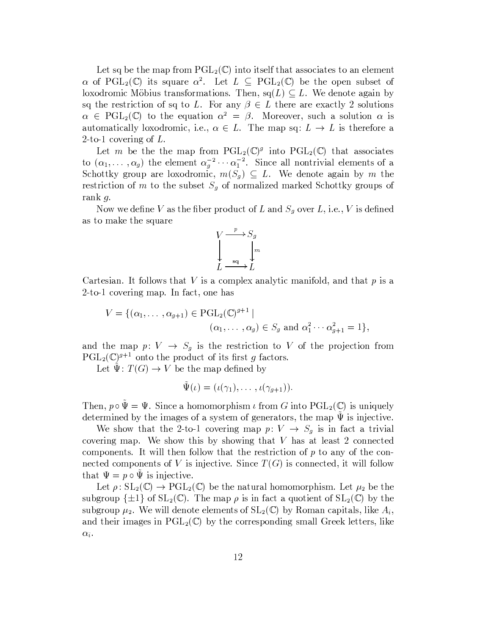Let sq be the map from  $PGL_2(\mathbb{C})$  into itself that associates to an element  $\alpha$  of PGL<sub>2</sub>(C) its square  $\alpha^2$ . Let  $L \subseteq \text{PGL}_2(\mathbb{C})$  be the open subset of loxodromic Möbius transformations. Then,  $sq(L) \subseteq L$ . We denote again by sq the restriction of sq to L. For any  $\beta \in L$  there are exactly 2 solutions  $\alpha \in \text{PGL}_2(\mathbb{C})$  to the equation  $\alpha^2 = \beta$ . Moreover, such a solution  $\alpha$  is automatically loxodromic, i.e.,  $\alpha \in L$ . The map sq:  $L \to L$  is therefore a 2-to-1 covering of  $L$ .

Let *m* be the the map from  $\text{PGL}_2(\mathbb{C})^g$  into  $\text{PGL}_2(\mathbb{C})$  that associates<br>to  $(\alpha_1, \dots, \alpha_g)$  the element  $\alpha_g^{-2} \cdots \alpha_1^{-2}$ . Since all nontrivial elements of a<br>Schottky group are loxodromic,  $m(S_g) \subseteq L$ . We denote a restriction of m to the subset  $S_g$  of normalized marked Schottky groups of rank  $q$ .

Now we define V as the fiber product of L and  $S_g$  over L, i.e., V is defined as to make the square



Cartesian. It follows that V is a complex analytic manifold, and that  $p$  is a 2-to-1 covering map. In fact, one has

$$
V = \{(\alpha_1, \dots, \alpha_{g+1}) \in \mathrm{PGL}_2(\mathbb{C})^{g+1} \mid
$$
  

$$
(\alpha_1, \dots, \alpha_g) \in S_g \text{ and } \alpha_1^2 \cdots \alpha_{g+1}^2 = 1 \},
$$

and the map  $p: V \to S_g$  is the restriction to V of the projection from  $PGL_2(\mathbb{C})^{g+1}$  onto the product of its first g factors.

Let  $\Psi: T(G) \to V$  be the map defined by

$$
\tilde{\Psi}(\iota)=(\iota(\gamma_1),\ldots,\iota(\gamma_{g+1})).
$$

Then,  $p \circ \Psi = \Psi$ . Since a homomorphism  $\iota$  from G into  $PGL_2(\mathbb{C})$  is uniquely determined by the images of a system of generators, the map  $\Psi$  is injective.

We show that the 2-to-1 covering map  $p: V \to S_g$  is in fact a trivial covering map. We show this by showing that  $V$  has at least 2 connected components. It will then follow that the restriction of  $p$  to any of the connected components of V is injective. Since  $T(G)$  is connected, it will follow that  $\Psi = p \circ \Psi$  is injective.

Let  $\rho: SL_2(\mathbb{C}) \to PGL_2(\mathbb{C})$  be the natural homomorphism. Let  $\mu_2$  be the subgroup  $\{\pm 1\}$  of  $SL_2(\mathbb{C})$ . The map  $\rho$  is in fact a quotient of  $SL_2(\mathbb{C})$  by the subgroup  $\mu_2$ . We will denote elements of  $SL_2(\mathbb{C})$  by Roman capitals, like  $A_i$ , and their images in  $PGL_2(\mathbb{C})$  by the corresponding small Greek letters, like  $\alpha_i$ .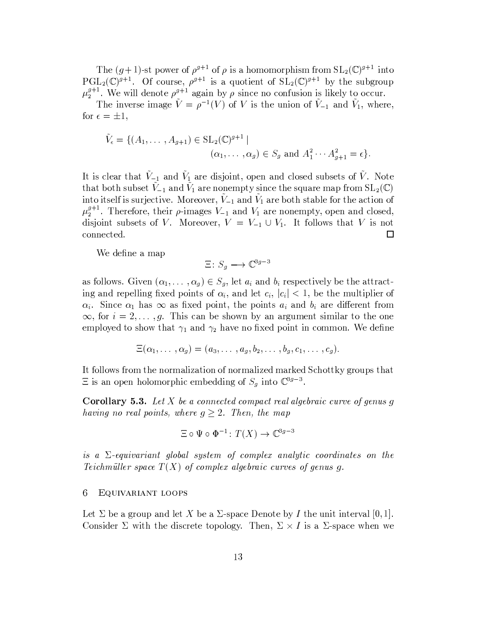The  $(g+1)$ -st power of  $\rho^{g+1}$  of  $\rho$  is a homomorphism from  $SL_2(\mathbb{C})^{g+1}$  into  $PGL_2(\mathbb{C})^{\mathfrak{g}+1}$ . Of course,  $\rho^{g+1}$  is a quotient of  $SL_2(\mathbb{C})^{g+1}$  by the subgroup  $\mu_2^{g+1}$ . We will denote  $\rho^{g+1}$  again by  $\rho$  since no confusion is likely to occur.

The inverse image  $\tilde{V} = \rho^{-1}(V)$  of V is the union of  $\tilde{V}_{-1}$  and  $\tilde{V}_1$ , where, for  $\epsilon = \pm 1$ ,

$$
\tilde{V}_{\epsilon} = \{ (A_1, \dots, A_{g+1}) \in SL_2(\mathbb{C})^{g+1} \mid
$$
  
\n $(\alpha_1, \dots, \alpha_g) \in S_g \text{ and } A_1^2 \cdots A_{g+1}^2 = \epsilon \}.$ 

It is clear that  $\tilde{V}_{-1}$  and  $\tilde{V}_{1}$  are disjoint, open and closed subsets of  $\tilde{V}$ . Note that both subset  $\tilde{V}_{-1}$  and  $\tilde{V}_1$  are nonempty since the square map from  $SL_2(\mathbb{C})$ into itself is surjective. Moreover,  $V_{-1}$  and  $V_1$  are both stable for the action of  $\mu_2^{g+1}$ . Therefore, their  $\rho$ -images  $V_{-1}$  and  $V_1$  are nonempty, open and closed, disjoint subsets of V. Moreover,  $V = V_{-1} \cup V_1$ . It follows that V is not connected.  $\Box$ 

We define a map

$$
\Xi: S_q \longrightarrow \mathbb{C}^{3g-3}
$$

as follows. Given  $(\alpha_1, \ldots, \alpha_g) \in S_g$ , let  $a_i$  and  $b_i$  respectively be the attracting and repelling fixed points of  $\alpha_i$ , and let  $c_i$ ,  $|c_i| < 1$ , be the multiplier of  $\alpha_i$ . Since  $\alpha_1$  has  $\infty$  as fixed point, the points  $a_i$  and  $b_i$  are different from  $\infty$ , for  $i = 2, \ldots, g$ . This can be shown by an argument similar to the one employed to show that  $\gamma_1$  and  $\gamma_2$  have no fixed point in common. We define

$$
\Xi(\alpha_1,\ldots,\alpha_g)=(a_3,\ldots,a_g,b_2,\ldots,b_g,c_1,\ldots,c_g).
$$

It follows from the normalization of normalized marked Schottky groups that  $\Xi$  is an open holomorphic embedding of  $S_g$  into  $\mathbb{C}^{3g-3}$ .

**Corollary 5.3.** Let X be a connected compact real algebraic curve of genus q having no real points, where  $g \geq 2$ . Then, the map

$$
\Xi \circ \Psi \circ \Phi^{-1} \colon T(X) \to \mathbb{C}^{3g-3}
$$

is a  $\Sigma$ -equivariant global system of complex analytic coordinates on the Teichmüller space  $T(X)$  of complex algebraic curves of genus g.

#### 6 EQUIVARIANT LOOPS

Let  $\Sigma$  be a group and let X be a  $\Sigma$ -space Denote by I the unit interval [0, 1]. Consider  $\Sigma$  with the discrete topology. Then,  $\Sigma \times I$  is a  $\Sigma$ -space when we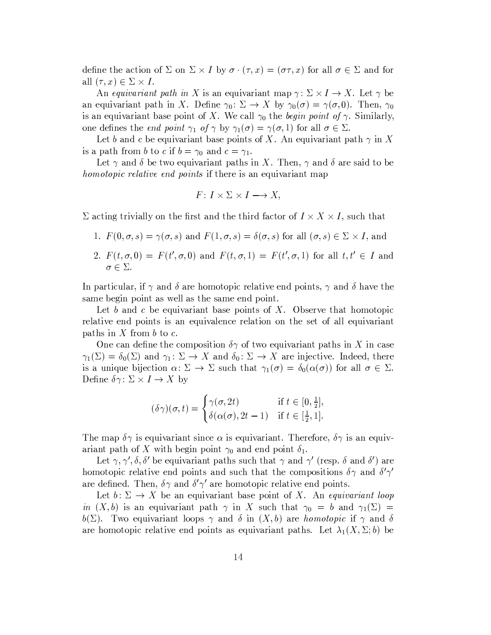define the action of  $\Sigma$  on  $\Sigma \times I$  by  $\sigma \cdot (\tau, x) = (\sigma \tau, x)$  for all  $\sigma \in \Sigma$  and for all  $(\tau, x) \in \Sigma \times I$ .

An equivariant path in X is an equivariant map  $\gamma: \Sigma \times I \to X$ . Let  $\gamma$  be an equivariant path in X. Define  $\gamma_0 \colon \Sigma \to X$  by  $\gamma_0(\sigma) = \gamma(\sigma, 0)$ . Then,  $\gamma_0$ is an equivariant base point of X. We call  $\gamma_0$  the begin point of  $\gamma$ . Similarly, one defines the *end point*  $\gamma_1$  of  $\gamma$  by  $\gamma_1(\sigma) = \gamma(\sigma, 1)$  for all  $\sigma \in \Sigma$ .

Let b and c be equivariant base points of X. An equivariant path  $\gamma$  in X is a path from b to c if  $b = \gamma_0$  and  $c = \gamma_1$ .

Let  $\gamma$  and  $\delta$  be two equivariant paths in X. Then,  $\gamma$  and  $\delta$  are said to be *homotopic relative end points* if there is an equivariant map

$$
F: I \times \Sigma \times I \longrightarrow X,
$$

 $\Sigma$  acting trivially on the first and the third factor of  $I \times X \times I$ , such that

- 1.  $F(0,\sigma,s) = \gamma(\sigma,s)$  and  $F(1,\sigma,s) = \delta(\sigma,s)$  for all  $(\sigma,s) \in \Sigma \times I$ , and
- 2.  $F(t, \sigma, 0) = F(t', \sigma, 0)$  and  $F(t, \sigma, 1) = F(t', \sigma, 1)$  for all  $t, t' \in I$  and  $\sigma \in \Sigma.$

In particular, if  $\gamma$  and  $\delta$  are homotopic relative end points,  $\gamma$  and  $\delta$  have the same begin point as well as the same end point.

Let b and c be equivariant base points of X. Observe that homotopic relative end points is an equivalence relation on the set of all equivariant paths in  $X$  from  $b$  to  $c$ .

One can define the composition  $\delta\gamma$  of two equivariant paths in X in case  $\gamma_1(\Sigma) = \delta_0(\Sigma)$  and  $\gamma_1: \Sigma \to X$  and  $\delta_0: \Sigma \to X$  are injective. Indeed, there is a unique bijection  $\alpha: \Sigma \to \Sigma$  such that  $\gamma_1(\sigma) = \delta_0(\alpha(\sigma))$  for all  $\sigma \in \Sigma$ . Define  $\delta \gamma$ :  $\Sigma \times I \to X$  by

$$
(\delta \gamma)(\sigma, t) = \begin{cases} \gamma(\sigma, 2t) & \text{if } t \in [0, \frac{1}{2}], \\ \delta(\alpha(\sigma), 2t - 1) & \text{if } t \in [\frac{1}{2}, 1]. \end{cases}
$$

The map  $\delta\gamma$  is equivariant since  $\alpha$  is equivariant. Therefore,  $\delta\gamma$  is an equivariant path of X with begin point  $\gamma_0$  and end point  $\delta_1$ .

Let  $\gamma$ ,  $\gamma'$ ,  $\delta$ ,  $\delta'$  be equivariant paths such that  $\gamma$  and  $\gamma'$  (resp.  $\delta$  and  $\delta'$ ) are homotopic relative end points and such that the compositions  $\delta\gamma$  and  $\delta'\gamma'$ are defined. Then,  $\delta \gamma$  and  $\delta' \gamma'$  are homotopic relative end points.

Let  $b: \Sigma \to X$  be an equivariant base point of X. An equivariant loop in  $(X, b)$  is an equivariant path  $\gamma$  in X such that  $\gamma_0 = b$  and  $\gamma_1(\Sigma) =$  $b(\Sigma)$ . Two equivariant loops  $\gamma$  and  $\delta$  in  $(X, b)$  are *homotopic* if  $\gamma$  and  $\delta$ are homotopic relative end points as equivariant paths. Let  $\lambda_1(X, \Sigma; b)$  be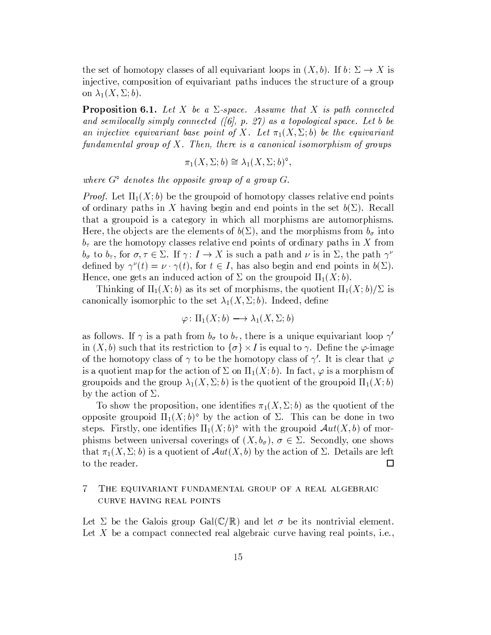the set of homotopy classes of all equivariant loops in  $(X, b)$ . If  $b: \Sigma \to X$  is injective, composition of equivariant paths induces the structure of a group on  $\lambda_1(X, \Sigma; b)$ .

**Proposition 6.1.** Let X be a  $\Sigma$ -space. Assume that X is path connected and semilocally simply connected ( $\beta$ ), p. 27) as a topological space. Let b be an injective equivariant base point of X. Let  $\pi_1(X, \Sigma; b)$  be the equivariant fundamental group of  $X$ . Then, there is a canonical isomorphism of groups

$$
\pi_1(X, \Sigma; b) \cong \lambda_1(X, \Sigma; b)^\circ,
$$

where  $G^{\circ}$  denotes the opposite group of a group  $G$ .

*Proof.* Let  $\Pi_1(X; b)$  be the groupoid of homotopy classes relative end points of ordinary paths in X having begin and end points in the set  $b(\Sigma)$ . Recall that a groupoid is a category in which all morphisms are automorphisms. Here, the objects are the elements of  $b(\Sigma)$ , and the morphisms from  $b_{\sigma}$  into  $b_{\tau}$  are the homotopy classes relative end points of ordinary paths in X from  $b_{\sigma}$  to  $b_{\tau}$ , for  $\sigma, \tau \in \Sigma$ . If  $\gamma: I \to X$  is such a path and  $\nu$  is in  $\Sigma$ , the path  $\gamma^{\nu}$ defined by  $\gamma^{\nu}(t) = \nu \cdot \gamma(t)$ , for  $t \in I$ , has also begin and end points in  $b(\Sigma)$ . Hence, one gets an induced action of  $\Sigma$  on the groupoid  $\Pi_1(X;b)$ .

Thinking of  $\Pi_1(X; b)$  as its set of morphisms, the quotient  $\Pi_1(X; b)/\Sigma$  is canonically isomorphic to the set  $\lambda_1(X, \Sigma; b)$ . Indeed, define

$$
\varphi \colon \Pi_1(X; b) \longrightarrow \lambda_1(X, \Sigma; b)
$$

as follows. If  $\gamma$  is a path from  $b_{\sigma}$  to  $b_{\tau}$ , there is a unique equivariant loop  $\gamma'$ in  $(X, b)$  such that its restriction to  $\{\sigma\} \times I$  is equal to  $\gamma$ . Define the  $\varphi$ -image of the homotopy class of  $\gamma$  to be the homotopy class of  $\gamma'$ . It is clear that  $\varphi$ is a quotient map for the action of  $\Sigma$  on  $\Pi_1(X; b)$ . In fact,  $\varphi$  is a morphism of groupoids and the group  $\lambda_1(X,\Sigma;b)$  is the quotient of the groupoid  $\Pi_1(X;b)$ by the action of  $\Sigma$ .

To show the proposition, one identifies  $\pi_1(X, \Sigma; b)$  as the quotient of the opposite groupoid  $\Pi_1(X;b)^\circ$  by the action of  $\Sigma$ . This can be done in two steps. Firstly, one identifies  $\Pi_1(X; b)^\circ$  with the groupoid  $\mathcal{A}ut(X, b)$  of morphisms between universal coverings of  $(X, b_{\sigma}), \sigma \in \Sigma$ . Secondly, one shows that  $\pi_1(X, \Sigma; b)$  is a quotient of  $\mathcal{A}ut(X, b)$  by the action of  $\Sigma$ . Details are left to the reader.  $\Box$ 

### 7 THE EQUIVARIANT FUNDAMENTAL GROUP OF A REAL ALGEBRAIC CURVE HAVING REAL POINTS

Let  $\Sigma$  be the Galois group Gal( $\mathbb{C}/\mathbb{R}$ ) and let  $\sigma$  be its nontrivial element. Let  $X$  be a compact connected real algebraic curve having real points, i.e.,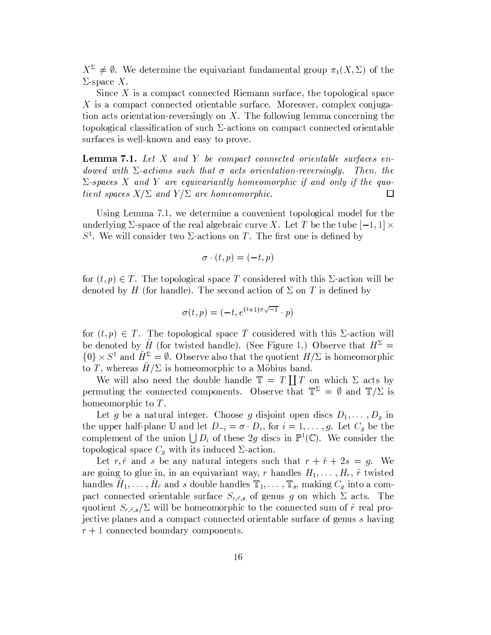$X^{\Sigma} \neq \emptyset$ . We determine the equivariant fundamental group  $\pi_1(X, \Sigma)$  of the  $\Sigma$ -space X.

Since  $X$  is a compact connected Riemann surface, the topological space  $X$  is a compact connected orientable surface. Moreover, complex conjugation acts orientation-reversingly on  $X$ . The following lemma concerning the topological classification of such  $\Sigma$ -actions on compact connected orientable surfaces is well-known and easy to prove.

**Lemma 7.1.** Let  $X$  and  $Y$  be compact connected orientable surfaces endowed with  $\Sigma$ -actions such that  $\sigma$  acts orientation-reversingly. Then, the  $\Sigma$ -spaces X and Y are equivariantly homeomorphic if and only if the quotient spaces  $X/\Sigma$  and  $Y/\Sigma$  are homeomorphic.  $\Box$ 

Using Lemma 7.1, we determine a convenient topological model for the underlying  $\Sigma$ -space of the real algebraic curve X. Let T be the tube  $[-1,1] \times$  $S<sup>1</sup>$ . We will consider two  $\Sigma$ -actions on T. The first one is defined by

$$
\sigma \cdot (t, p) = (-t, p)
$$

for  $(t, p) \in T$ . The topological space T considered with this  $\Sigma$ -action will be denoted by H (for handle). The second action of  $\Sigma$  on T is defined by

$$
\sigma(t,p)=(-t,e^{(t+1)\pi\sqrt{-1}}\cdot p)
$$

for  $(t, p) \in T$ . The topological space T considered with this  $\Sigma$ -action will be denoted by  $\tilde{H}$  (for twisted handle). (See Figure 1.) Observe that  $H^{\Sigma}$  =  $\{0\} \times S^1$  and  $\tilde{H}^{\Sigma} = \emptyset$ . Observe also that the quotient  $H/\Sigma$  is homeomorphic to T, whereas  $H/\Sigma$  is homeomorphic to a Möbius band.

We will also need the double handle  $\mathbb{T} = T \coprod T$  on which  $\Sigma$  acts by permuting the connected components. Observe that  $\mathbb{T}^{\Sigma} = \emptyset$  and  $\mathbb{T}/\Sigma$  is homeomorphic to  $T$ .

Let g be a natural integer. Choose g disjoint open discs  $D_1, \ldots, D_g$  in the upper half-plane U and let  $D_{-i} = \sigma \cdot D_i$ , for  $i = 1, ..., g$ . Let  $C_g$  be the complement of the union  $\bigcup D_i$  of these 2g discs in  $\mathbb{P}^1(\mathbb{C})$ . We consider the topological space  $C_g$  with its induced  $\Sigma$ -action.

Let r,  $\tilde{r}$  and s be any natural integers such that  $r + \tilde{r} + 2s = g$ . We are going to glue in, in an equivariant way, r handles  $H_1, \ldots, H_r$ ,  $\tilde{r}$  twisted handles  $\tilde{H}_1, \ldots, \tilde{H}_{\tilde{r}}$  and s double handles  $\mathbb{T}_1, \ldots, \mathbb{T}_s$ , making  $C_g$  into a compact connected orientable surface  $S_{r,\tilde{r},s}$  of genus g on which  $\Sigma$  acts. The quotient  $S_{r,\tilde{r},s}/\Sigma$  will be homeomorphic to the connected sum of  $\tilde{r}$  real projective planes and a compact connected orientable surface of genus s having  $r+1$  connected boundary components.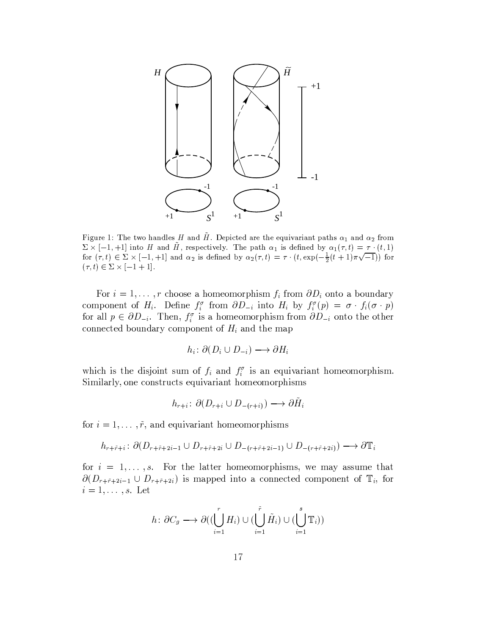

Figure 1: The two handles H and  $\tilde{H}$ . Depicted are the equivariant paths  $\alpha_1$  and  $\alpha_2$  from  $\Sigma \times [-1, +1]$  into H and H, respectively. The path  $\alpha_1$  is defined by  $\alpha_1(\tau, t) = \tau \cdot (t, 1)$ for  $(\tau, t) \in \Sigma \times [-1, +1]$  and  $\alpha_2$  is defined by  $\alpha_2(\tau, t) = \tau \cdot (t, \exp(-\frac{1}{2}(t+1)\pi\sqrt{-1}))$  for  $(\tau, t) \in \Sigma \times [-1 + 1].$ 

For  $i = 1, ..., r$  choose a homeomorphism  $f_i$  from  $\partial D_i$  onto a boundary component of  $H_i$ . Define  $f_i^{\sigma}$  from  $\partial D_{-i}$  into  $H_i$  by  $f_i^{\sigma}(p) = \sigma \cdot f_i(\sigma \cdot p)$ for all  $p \in \partial D_{-i}$ . Then,  $f_i^{\sigma}$  is a homeomorphism from  $\partial D_{-i}$  onto the other connected boundary component of  $H_i$  and the map

$$
h_i: \partial (D_i \cup D_{-i}) \longrightarrow \partial H_i
$$

which is the disjoint sum of  $f_i$  and  $f_i^{\sigma}$  is an equivariant homeomorphism. Similarly, one constructs equivariant homeomorphisms

$$
h_{r+i} : \partial(D_{r+i} \cup D_{-(r+i)}) \longrightarrow \partial H_i
$$

for  $i = 1, ..., \tilde{r}$ , and equivariant homeomorphisms

$$
h_{r+\tilde{r}+i} \colon \partial(D_{r+\tilde{r}+2i-1} \cup D_{r+\tilde{r}+2i} \cup D_{-(r+\tilde{r}+2i-1)} \cup D_{-(r+\tilde{r}+2i)}) \longrightarrow \partial \mathbb{T}_i
$$

for  $i = 1, ..., s$ . For the latter homeomorphisms, we may assume that  $\partial(D_{r+\tilde{r}+2i-1} \cup D_{r+\tilde{r}+2i})$  is mapped into a connected component of  $\mathbb{T}_i$ , for  $i=1,\ldots,s.$  Let

$$
h: \partial C_g \longrightarrow \partial((\bigcup_{i=1}^r H_i) \cup (\bigcup_{i=1}^r \tilde{H}_i) \cup (\bigcup_{i=1}^s \mathbb{T}_i))
$$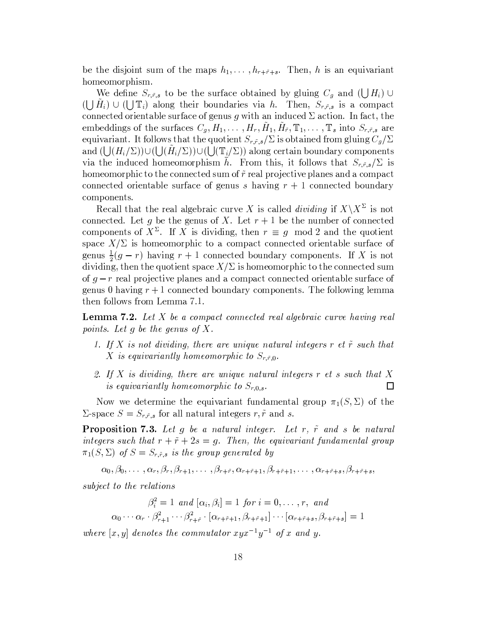be the disjoint sum of the maps  $h_1, \ldots, h_{r+\tilde{r}+s}$ . Then, h is an equivariant homeomorphism.

We define  $S_{r,\tilde{r},s}$  to be the surface obtained by gluing  $C_g$  and  $(\bigcup H_i)$  $(\bigcup H_i) \cup (\bigcup \mathbb{T}_i)$  along their boundaries via h. Then,  $S_{r,\tilde{r},s}$  is a compact connected orientable surface of genus g with an induced  $\Sigma$  action. In fact, the embeddings of the surfaces  $C_q$ ,  $H_1, \ldots, H_r$ ,  $\tilde{H}_1$ ,  $\tilde{H}_{\tilde{r}}$ ,  $\mathbb{T}_1, \ldots, \mathbb{T}_s$  into  $S_{r,\tilde{r},s}$  are equivariant. It follows that the quotient  $S_{r,\tilde{r},s}/\Sigma$  is obtained from gluing  $C_g/\Sigma$ and  $(\bigcup (H_i/\Sigma)) \cup (\bigcup (H_i/\Sigma)) \cup (\bigcup (\mathbb{T}_i/\Sigma))$  along certain boundary components via the induced homeomorphism  $\bar{h}$ . From this, it follows that  $S_{r,\tilde{r},s}/\Sigma$  is homeomorphic to the connected sum of  $\tilde{r}$  real projective planes and a compact connected orientable surface of genus s having  $r + 1$  connected boundary components.

Recall that the real algebraic curve X is called *dividing* if  $X\ X^{\Sigma}$  is not connected. Let g be the genus of X. Let  $r + 1$  be the number of connected components of  $X^{\Sigma}$ . If X is dividing, then  $r \equiv g \mod 2$  and the quotient space  $X/\Sigma$  is homeomorphic to a compact connected orientable surface of genus  $\frac{1}{2}(g-r)$  having  $r+1$  connected boundary components. If X is not dividing, then the quotient space  $X/\Sigma$  is homeomorphic to the connected sum of  $q-r$  real projective planes and a compact connected orientable surface of genus 0 having  $r + 1$  connected boundary components. The following lemma then follows from Lemma 7.1.

**Lemma 7.2.** Let  $X$  be a compact connected real algebraic curve having real points. Let g be the genus of X.

- 1. If X is not dividing, there are unique natural integers  $r$  et  $\tilde{r}$  such that X is equivariantly homeomorphic to  $S_{r,\tilde{r},0}$ .
- 2. If  $X$  is dividing, there are unique natural integers  $r$  et  $s$  such that  $X$ is equivariantly homeomorphic to  $S_{r,0,s}$ . 口

Now we determine the equivariant fundamental group  $\pi_1(S,\Sigma)$  of the  $\Sigma$ -space  $S = S_{r,\tilde{r},s}$  for all natural integers r,  $\tilde{r}$  and s.

**Proposition 7.3.** Let  $g$  be a natural integer. Let  $r$ ,  $\tilde{r}$  and  $s$  be natural integers such that  $r + \tilde{r} + 2s = g$ . Then, the equivariant fundamental group  $\pi_1(S, \Sigma)$  of  $S = S_{r, \tilde{r}, s}$  is the group generated by

 $\alpha_0, \beta_0, \ldots, \alpha_r, \beta_r, \beta_{r+1}, \ldots, \beta_{r+\tilde{r}}, \alpha_{r+\tilde{r}+1}, \beta_{r+\tilde{r}+1}, \ldots, \alpha_{r+\tilde{r}+s}, \beta_{r+\tilde{r}+s},$ 

subject to the relations

$$
\beta_i^2 = 1 \text{ and } [\alpha_i, \beta_i] = 1 \text{ for } i = 0, \dots, r, \text{ and}
$$

$$
\alpha_0 \cdots \alpha_r \cdot \beta_{r+1}^2 \cdots \beta_{r+\tilde{r}}^2 \cdot [\alpha_{r+\tilde{r}+1}, \beta_{r+\tilde{r}+1}] \cdots [\alpha_{r+\tilde{r}+s}, \beta_{r+\tilde{r}+s}] = 1
$$

where  $[x, y]$  denotes the commutator  $xyx^{-1}y^{-1}$  of x and y.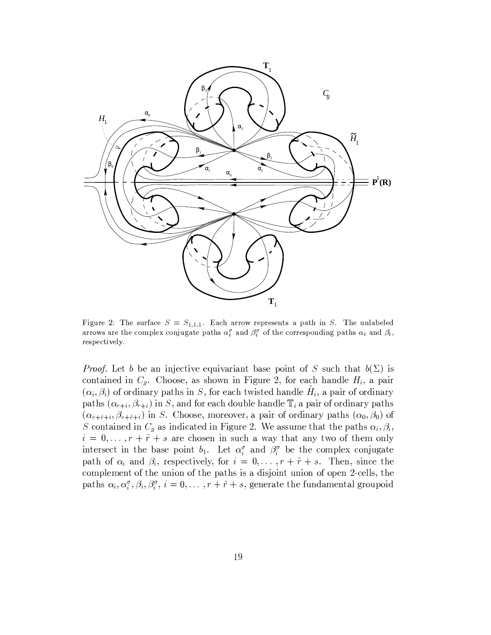

Figure 2: The surface  $S = S_{1,1,1}$ . Each arrow represents a path in S. The unlabeled arrows are the complex conjugate paths  $\alpha_i^{\sigma}$  and  $\beta_i^{\sigma}$  of the corresponding paths  $\alpha_i$  and  $\beta_i$ , respectively.

*Proof.* Let b be an injective equivariant base point of S such that  $b(\Sigma)$  is contained in  $C_g$ . Choose, as shown in Figure 2, for each handle  $H_i$ , a pair  $(\alpha_i, \beta_i)$  of ordinary paths in S, for each twisted handle  $H_i$ , a pair of ordinary paths  $(\alpha_{r+i}, \beta_{r+i})$  in S, and for each double handle  $\mathbb{T}_i$  a pair of ordinary paths  $(\alpha_{r+\tilde{r}+i}, \beta_{r+\tilde{r}+i})$  in S. Choose, moreover, a pair of ordinary paths  $(\alpha_0, \beta_0)$  of S contained in  $C_g$  as indicated in Figure 2. We assume that the paths  $\alpha_i, \beta_i$ ,  $i = 0, \ldots, r + \tilde{r} + s$  are chosen in such a way that any two of them only intersect in the base point  $b_1$ . Let  $\alpha_i^{\sigma}$  and  $\beta_i^{\sigma}$  be the complex conjugate path of  $\alpha_i$  and  $\beta_i$ , respectively, for  $i = 0, \ldots, r + \tilde{r} + s$ . Then, since the complement of the union of the paths is a disjoint union of open 2-cells, the paths  $\alpha_i, \alpha_i^{\sigma}, \beta_i, \beta_i^{\sigma}, i = 0, \ldots, r + \tilde{r} + s$ , generate the fundamental groupoid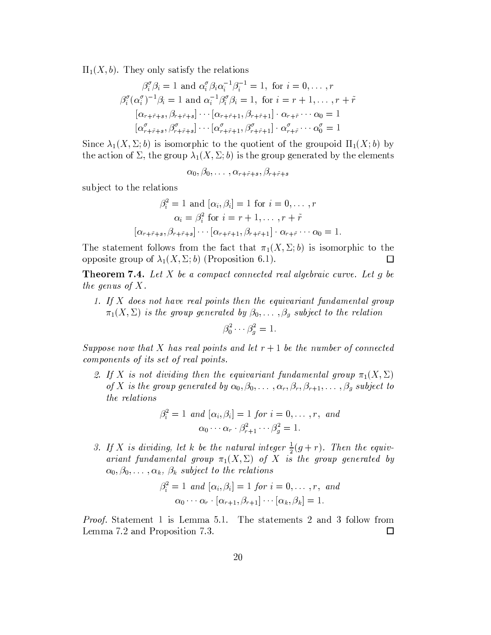$\Pi_1(X, b)$ . They only satisfy the relations

$$
\beta_i^{\sigma} \beta_i = 1 \text{ and } \alpha_i^{\sigma} \beta_i \alpha_i^{-1} \beta_i^{-1} = 1, \text{ for } i = 0, \dots, r
$$
  

$$
\beta_i^{\sigma} (\alpha_i^{\sigma})^{-1} \beta_i = 1 \text{ and } \alpha_i^{-1} \beta_i^{\sigma} \beta_i = 1, \text{ for } i = r+1, \dots, r+\tilde{r}
$$
  

$$
[\alpha_{r+\tilde{r}+s}, \beta_{r+\tilde{r}+s}] \cdots [\alpha_{r+\tilde{r}+1}, \beta_{r+\tilde{r}+1}] \cdot \alpha_{r+\tilde{r}} \cdots \alpha_0 = 1
$$
  

$$
[\alpha_{r+\tilde{r}+s}^{\sigma}, \beta_{r+\tilde{r}+s}^{\sigma}] \cdots [\alpha_{r+\tilde{r}+1}^{\sigma}, \beta_{r+\tilde{r}+1}^{\sigma}] \cdot \alpha_{r+\tilde{r}}^{\sigma} \cdots \alpha_0^{\sigma} = 1
$$

Since  $\lambda_1(X, \Sigma; b)$  is isomorphic to the quotient of the groupoid  $\Pi_1(X; b)$  by the action of  $\Sigma$ , the group  $\lambda_1(X,\Sigma;b)$  is the group generated by the elements

$$
\alpha_0, \beta_0, \ldots, \alpha_{r+\tilde{r}+s}, \beta_{r+\tilde{r}+s}
$$

subject to the relations

$$
\beta_i^2 = 1 \text{ and } [\alpha_i, \beta_i] = 1 \text{ for } i = 0, \dots, r
$$

$$
\alpha_i = \beta_i^2 \text{ for } i = r+1, \dots, r+\tilde{r}
$$

$$
[\alpha_{r+\tilde{r}+s}, \beta_{r+\tilde{r}+s}] \cdots [\alpha_{r+\tilde{r}+1}, \beta_{r+\tilde{r}+1}] \cdot \alpha_{r+\tilde{r}} \cdots \alpha_0 = 1.
$$

The statement follows from the fact that  $\pi_1(X, \Sigma; b)$  is isomorphic to the opposite group of  $\lambda_1(X, \Sigma; b)$  (Proposition 6.1).  $\Box$ 

**Theorem 7.4.** Let X be a compact connected real algebraic curve. Let  $q$  be the genus of  $X$ .

1. If X does not have real points then the equivariant fundamental group  $\pi_1(X,\Sigma)$  is the group generated by  $\beta_0,\ldots,\beta_g$  subject to the relation

$$
\beta_0^2 \cdots \beta_q^2 = 1.
$$

Suppose now that X has real points and let  $r + 1$  be the number of connected components of its set of real points.

2. If X is not dividing then the equivariant fundamental group  $\pi_1(X,\Sigma)$ of X is the group generated by  $\alpha_0, \beta_0, \ldots, \alpha_r, \beta_r, \beta_{r+1}, \ldots, \beta_g$  subject to the relations

$$
\beta_i^2 = 1 \text{ and } [\alpha_i, \beta_i] = 1 \text{ for } i = 0, \dots, r, \text{ and}
$$

$$
\alpha_0 \cdots \alpha_r \cdot \beta_{r+1}^2 \cdots \beta_q^2 = 1.
$$

3. If X is dividing, let k be the natural integer  $\frac{1}{2}(g+r)$ . Then the equivariant fundamental group  $\pi_1(X,\Sigma)$  of X is the group generated by  $\alpha_0, \beta_0, \ldots, \alpha_k, \beta_k$  subject to the relations

$$
\beta_i^2 = 1 \text{ and } [\alpha_i, \beta_i] = 1 \text{ for } i = 0, \dots, r, \text{ and}
$$

$$
\alpha_0 \cdots \alpha_r \cdot [\alpha_{r+1}, \beta_{r+1}] \cdots [\alpha_k, \beta_k] = 1.
$$

*Proof.* Statement 1 is Lemma 5.1. The statements 2 and 3 follow from Lemma 7.2 and Proposition 7.3.  $\Box$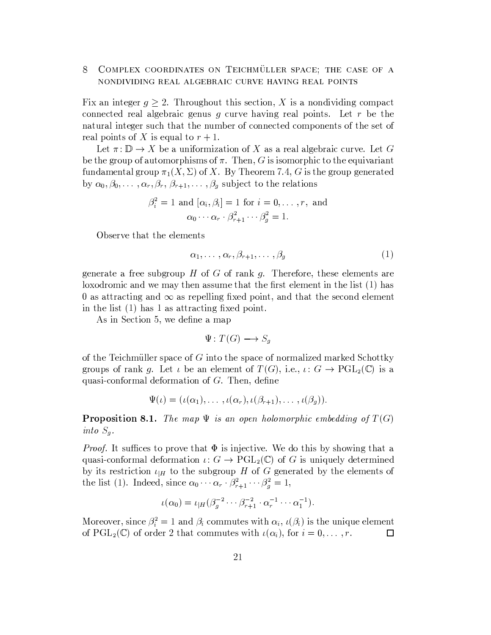## 8 COMPLEX COORDINATES ON TEICHMÜLLER SPACE; THE CASE OF A NONDIVIDING REAL ALGEBRAIC CURVE HAVING REAL POINTS

Fix an integer  $q \geq 2$ . Throughout this section, X is a nondividing compact connected real algebraic genus  $g$  curve having real points. Let  $r$  be the natural integer such that the number of connected components of the set of real points of X is equal to  $r + 1$ .

Let  $\pi: \mathbb{D} \to X$  be a uniformization of X as a real algebraic curve. Let G be the group of automorphisms of  $\pi$ . Then, G is isomorphic to the equivariant fundamental group  $\pi_1(X, \Sigma)$  of X. By Theorem 7.4, G is the group generated by  $\alpha_0, \beta_0, \ldots, \alpha_r, \beta_r, \beta_{r+1}, \ldots, \beta_g$  subject to the relations

$$
\beta_i^2 = 1 \text{ and } [\alpha_i, \beta_i] = 1 \text{ for } i = 0, \dots, r, \text{ and}
$$

$$
\alpha_0 \cdots \alpha_r \cdot \beta_{r+1}^2 \cdots \beta_g^2 = 1.
$$

Observe that the elements

$$
\alpha_1, \ldots, \alpha_r, \beta_{r+1}, \ldots, \beta_g \tag{1}
$$

generate a free subgroup  $H$  of  $G$  of rank  $g$ . Therefore, these elements are loxodromic and we may then assume that the first element in the list (1) has 0 as attracting and  $\infty$  as repelling fixed point, and that the second element in the list  $(1)$  has 1 as attracting fixed point.

As in Section 5, we define a map

$$
\Psi\colon T(G)\longrightarrow S_g
$$

of the Teichmüller space of  $G$  into the space of normalized marked Schottky groups of rank g. Let  $\iota$  be an element of  $T(G)$ , i.e.,  $\iota: G \to \mathrm{PGL}_2(\mathbb{C})$  is a quasi-conformal deformation of  $G$ . Then, define

$$
\Psi(\iota)=(\iota(\alpha_1),\ldots,\iota(\alpha_r),\iota(\beta_{r+1}),\ldots,\iota(\beta_g)).
$$

**Proposition 8.1.** The map  $\Psi$  is an open holomorphic embedding of  $T(G)$ into  $S_g$ .

*Proof.* It suffices to prove that  $\Phi$  is injective. We do this by showing that a quasi-conformal deformation  $\iota: G \to \mathrm{PGL}_2(\mathbb{C})$  of G is uniquely determined by its restriction  $\iota_{|H}$  to the subgroup H of G generated by the elements of the list (1). Indeed, since  $\alpha_0 \cdots \alpha_r \cdot \beta_{r+1}^2 \cdots \beta_g^2 = 1$ ,

$$
\iota(\alpha_0) = \iota_{|H}(\beta_g^{-2} \cdots \beta_{r+1}^{-2} \cdot \alpha_r^{-1} \cdots \alpha_1^{-1}).
$$

Moreover, since  $\beta_i^2 = 1$  and  $\beta_i$  commutes with  $\alpha_i$ ,  $\iota(\beta_i)$  is the unique element of  $\text{PGL}_2(\mathbb{C})$  of order 2 that commutes with  $\iota(\alpha_i)$ , for  $i=0,\ldots,r$ . 口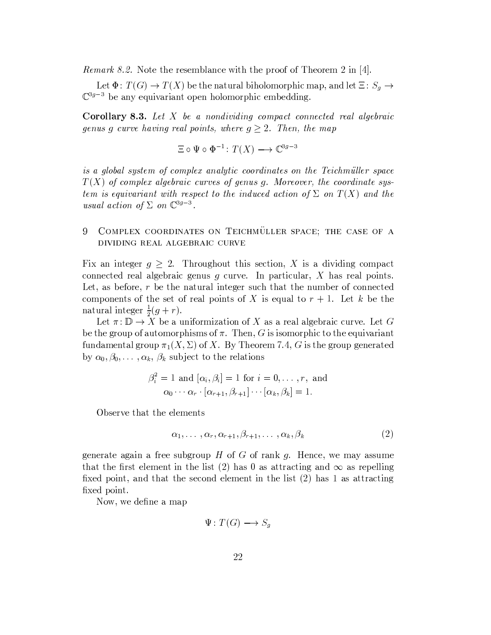*Remark 8.2.* Note the resemblance with the proof of Theorem 2 in [4].

Let  $\Phi\colon T(G)\to T(X)$  be the natural biholomorphic map, and let  $\Xi\colon S_g\to$  $\mathbb{C}^{3g-3}$  be any equivariant open holomorphic embedding.

**Corollary 8.3.** Let X be a nondividing compact connected real algebraic genus g curve having real points, where  $g \geq 2$ . Then, the map

$$
\Xi \circ \Psi \circ \Phi^{-1} \colon T(X) \longrightarrow \mathbb{C}^{3g-3}
$$

is a global system of complex analytic coordinates on the Teichmüller space  $T(X)$  of complex algebraic curves of genus g. Moreover, the coordinate system is equivariant with respect to the induced action of  $\Sigma$  on  $T(X)$  and the usual action of  $\Sigma$  on  $\mathbb{C}^{3g-3}$ .

### 9 COMPLEX COORDINATES ON TEICHMULLER SPACE; THE CASE OF A DIVIDING REAL ALGEBRAIC CURVE

Fix an integer  $g \geq 2$ . Throughout this section, X is a dividing compact connected real algebraic genus  $g$  curve. In particular,  $X$  has real points. Let, as before,  $r$  be the natural integer such that the number of connected components of the set of real points of X is equal to  $r + 1$ . Let k be the natural integer  $\frac{1}{2}(q+r)$ .

Let  $\pi: \mathbb{D} \to X$  be a uniformization of X as a real algebraic curve. Let G be the group of automorphisms of  $\pi$ . Then, G is isomorphic to the equivariant fundamental group  $\pi_1(X, \Sigma)$  of X. By Theorem 7.4, G is the group generated by  $\alpha_0, \beta_0, \ldots, \alpha_k, \beta_k$  subject to the relations

$$
\beta_i^2 = 1 \text{ and } [\alpha_i, \beta_i] = 1 \text{ for } i = 0, \dots, r, \text{ and}
$$

$$
\alpha_0 \cdots \alpha_r \cdot [\alpha_{r+1}, \beta_{r+1}] \cdots [\alpha_k, \beta_k] = 1.
$$

Observe that the elements

$$
\alpha_1, \ldots, \alpha_r, \alpha_{r+1}, \beta_{r+1}, \ldots, \alpha_k, \beta_k \tag{2}
$$

generate again a free subgroup  $H$  of  $G$  of rank  $g$ . Hence, we may assume that the first element in the list (2) has 0 as attracting and  $\infty$  as repelling fixed point, and that the second element in the list (2) has 1 as attracting fixed point.

Now, we define a map

$$
\Psi\colon T(G)\longrightarrow S_g
$$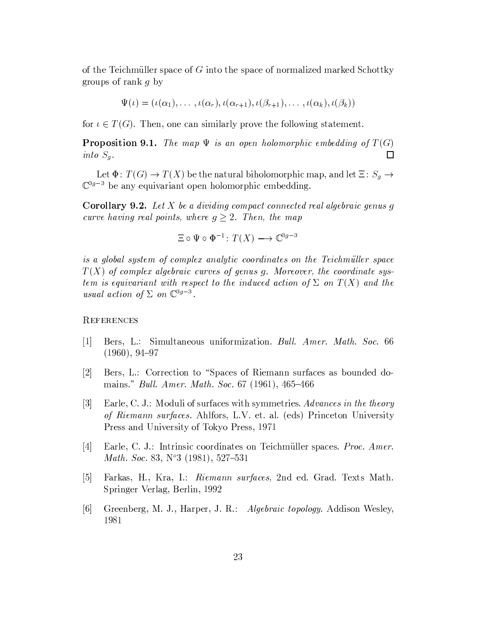of the Teichmüller space of  $G$  into the space of normalized marked Schottky groups of rank  $q$  by

$$
\Psi(\iota)=(\iota(\alpha_1),\ldots,\iota(\alpha_r),\iota(\alpha_{r+1}),\iota(\beta_{r+1}),\ldots,\iota(\alpha_k),\iota(\beta_k))
$$

for  $\iota \in T(G)$ . Then, one can similarly prove the following statement.

**Proposition 9.1.** The map  $\Psi$  is an open holomorphic embedding of  $T(G)$ into  $S_g$ .  $\Box$ 

Let  $\Phi\colon T(G)\to T(X)$  be the natural biholomorphic map, and let  $\Xi\colon S_g\to$  $\mathbb{C}^{3g-3}$  be any equivariant open holomorphic embedding.

**Corollary 9.2.** Let X be a dividing compact connected real algebraic genus g curve having real points, where  $g \geq 2$ . Then, the map

$$
\Xi \circ \Psi \circ \Phi^{-1} \colon T(X) \longrightarrow \mathbb{C}^{3g-3}
$$

is a global system of complex analytic coordinates on the Teichmüller space  $T(X)$  of complex algebraic curves of genus g. Moreover, the coordinate system is equivariant with respect to the induced action of  $\Sigma$  on  $T(X)$  and the usual action of  $\Sigma$  on  $\mathbb{C}^{3g-3}$ .

# REFERENCES

- $\lceil 1 \rceil$ Bers, L.: Simultaneous uniformization. Bull. Amer. Math. Soc. 66  $(1960), 94-97$
- Bers, L.: Correction to "Spaces of Riemann surfaces as bounded do- $|2|$ mains." *Bull. Amer. Math. Soc.* 67 (1961), 465–466
- $|3|$ Earle, C. J.: Moduli of surfaces with symmetries. Advances in the theory of Riemann surfaces. Ahlfors, L.V. et. al. (eds) Princeton University Press and University of Tokyo Press, 1971
- Earle, C. J.: Intrinsic coordinates on Teichmüller spaces. Proc. Amer.  $|4|$ Math. Soc. 83,  $N^{\circ}3$  (1981), 527-531
- $\vert 5 \vert$ Farkas, H., Kra, I.: Riemann surfaces, 2nd ed. Grad. Texts Math. Springer Verlag, Berlin, 1992
- $\lceil 6 \rceil$ Greenberg, M. J., Harper, J. R.: Algebraic topology. Addison Wesley, 1981